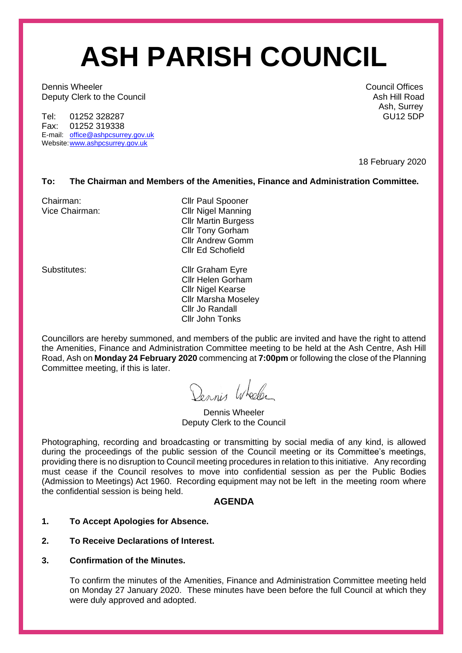# **ASH PARISH COUNCIL**

**Dennis Wheeler** Council Offices **Council Offices** Deputy Clerk to the Council and the Council Ash Hill Road Ash Hill Road

Tel: 01252 328287 Fax: 01252 319338 E-mail: [office@ashpcsurrey.gov.uk](mailto:office@ashpcsurrey.gov.uk) Website[:www.ashpcsurrey.gov.uk](http://www.ashpcsurrey.gov.uk/)

Ash, Surrey<br>GU125DP

18 February 2020

# **To: The Chairman and Members of the Amenities, Finance and Administration Committee.**

Chairman: Chairman: Cllr Paul Spooner Vice Chairman: Cllr Nigel Manning Cllr Martin Burgess Cllr Tony Gorham Cllr Andrew Gomm Cllr Ed Schofield

Substitutes: Cllr Graham Eyre Cllr Helen Gorham Cllr Nigel Kearse Cllr Marsha Moseley Cllr Jo Randall Cllr John Tonks

Councillors are hereby summoned, and members of the public are invited and have the right to attend the Amenities, Finance and Administration Committee meeting to be held at the Ash Centre, Ash Hill Road, Ash on **Monday 24 February 2020** commencing at **7:00pm** or following the close of the Planning Committee meeting, if this is later.

Dennis Wheeler

Dennis Wheeler Deputy Clerk to the Council

Photographing, recording and broadcasting or transmitting by social media of any kind, is allowed during the proceedings of the public session of the Council meeting or its Committee's meetings, providing there is no disruption to Council meeting procedures in relation to this initiative. Any recording must cease if the Council resolves to move into confidential session as per the Public Bodies (Admission to Meetings) Act 1960. Recording equipment may not be left in the meeting room where the confidential session is being held.

# **AGENDA**

# **1. To Accept Apologies for Absence.**

# **2. To Receive Declarations of Interest.**

# **3. Confirmation of the Minutes.**

To confirm the minutes of the Amenities, Finance and Administration Committee meeting held on Monday 27 January 2020. These minutes have been before the full Council at which they were duly approved and adopted.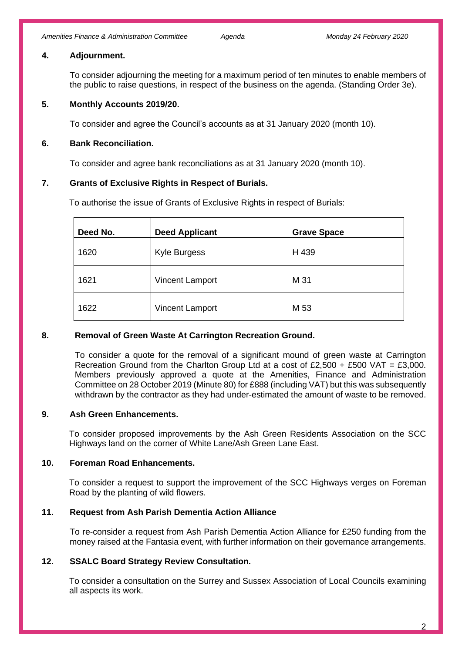#### **4. Adjournment.**

To consider adjourning the meeting for a maximum period of ten minutes to enable members of the public to raise questions, in respect of the business on the agenda. (Standing Order 3e).

## **5. Monthly Accounts 2019/20.**

To consider and agree the Council's accounts as at 31 January 2020 (month 10).

## **6. Bank Reconciliation.**

To consider and agree bank reconciliations as at 31 January 2020 (month 10).

# **7. Grants of Exclusive Rights in Respect of Burials.**

To authorise the issue of Grants of Exclusive Rights in respect of Burials:

| Deed No. | <b>Deed Applicant</b>  | <b>Grave Space</b> |
|----------|------------------------|--------------------|
| 1620     | Kyle Burgess           | H 439              |
| 1621     | <b>Vincent Lamport</b> | M 31               |
| 1622     | <b>Vincent Lamport</b> | M 53               |

#### **8. Removal of Green Waste At Carrington Recreation Ground.**

To consider a quote for the removal of a significant mound of green waste at Carrington Recreation Ground from the Charlton Group Ltd at a cost of £2,500 + £500 VAT = £3,000. Members previously approved a quote at the Amenities, Finance and Administration Committee on 28 October 2019 (Minute 80) for £888 (including VAT) but this was subsequently withdrawn by the contractor as they had under-estimated the amount of waste to be removed.

# **9. Ash Green Enhancements.**

To consider proposed improvements by the Ash Green Residents Association on the SCC Highways land on the corner of White Lane/Ash Green Lane East.

# **10. Foreman Road Enhancements.**

To consider a request to support the improvement of the SCC Highways verges on Foreman Road by the planting of wild flowers.

# **11. Request from Ash Parish Dementia Action Alliance**

To re-consider a request from Ash Parish Dementia Action Alliance for £250 funding from the money raised at the Fantasia event, with further information on their governance arrangements.

#### **12. SSALC Board Strategy Review Consultation.**

To consider a consultation on the Surrey and Sussex Association of Local Councils examining all aspects its work.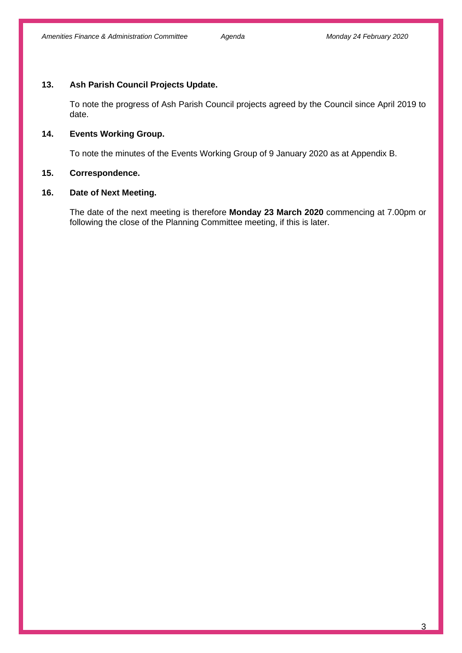#### **13. Ash Parish Council Projects Update.**

To note the progress of Ash Parish Council projects agreed by the Council since April 2019 to date.

# **14. Events Working Group.**

To note the minutes of the Events Working Group of 9 January 2020 as at Appendix B.

#### **15. Correspondence.**

## **16. Date of Next Meeting.**

The date of the next meeting is therefore **Monday 23 March 2020** commencing at 7.00pm or following the close of the Planning Committee meeting, if this is later.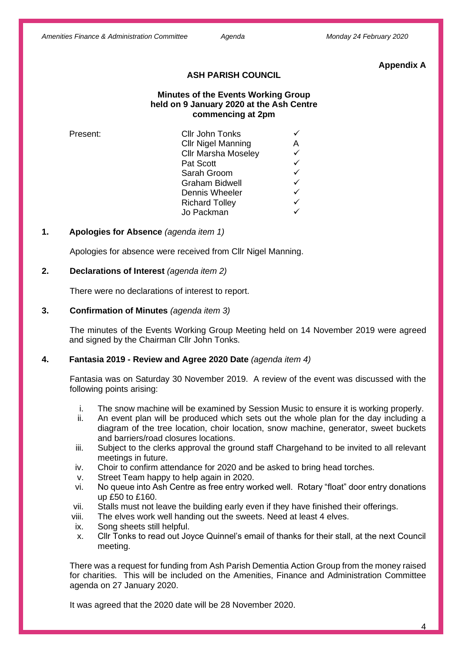#### **Appendix A**

## **ASH PARISH COUNCIL**

## **Minutes of the Events Working Group held on 9 January 2020 at the Ash Centre commencing at 2pm**

| Present: | Cllr John Tonks            |   |
|----------|----------------------------|---|
|          | <b>Cllr Nigel Manning</b>  | A |
|          | <b>Cllr Marsha Moseley</b> | ✓ |
|          | Pat Scott                  | ✓ |
|          | Sarah Groom                | ✓ |
|          | <b>Graham Bidwell</b>      | ✓ |
|          | Dennis Wheeler             | ✓ |
|          | <b>Richard Tolley</b>      | ✓ |
|          | Jo Packman                 |   |

#### **1. Apologies for Absence** *(agenda item 1)*

Apologies for absence were received from Cllr Nigel Manning.

#### **2. Declarations of Interest** *(agenda item 2)*

There were no declarations of interest to report.

#### **3. Confirmation of Minutes** *(agenda item 3)*

The minutes of the Events Working Group Meeting held on 14 November 2019 were agreed and signed by the Chairman Cllr John Tonks.

#### **4. Fantasia 2019 - Review and Agree 2020 Date** *(agenda item 4)*

Fantasia was on Saturday 30 November 2019. A review of the event was discussed with the following points arising:

- i. The snow machine will be examined by Session Music to ensure it is working properly.
- ii. An event plan will be produced which sets out the whole plan for the day including a diagram of the tree location, choir location, snow machine, generator, sweet buckets and barriers/road closures locations.
- iii. Subject to the clerks approval the ground staff Chargehand to be invited to all relevant meetings in future.
- iv. Choir to confirm attendance for 2020 and be asked to bring head torches.
- v. Street Team happy to help again in 2020.
- vi. No queue into Ash Centre as free entry worked well. Rotary "float" door entry donations up £50 to £160.
- vii. Stalls must not leave the building early even if they have finished their offerings.
- viii. The elves work well handing out the sweets. Need at least 4 elves.
- ix. Song sheets still helpful.
- x. Cllr Tonks to read out Joyce Quinnel's email of thanks for their stall, at the next Council meeting.

There was a request for funding from Ash Parish Dementia Action Group from the money raised for charities. This will be included on the Amenities, Finance and Administration Committee agenda on 27 January 2020.

It was agreed that the 2020 date will be 28 November 2020.